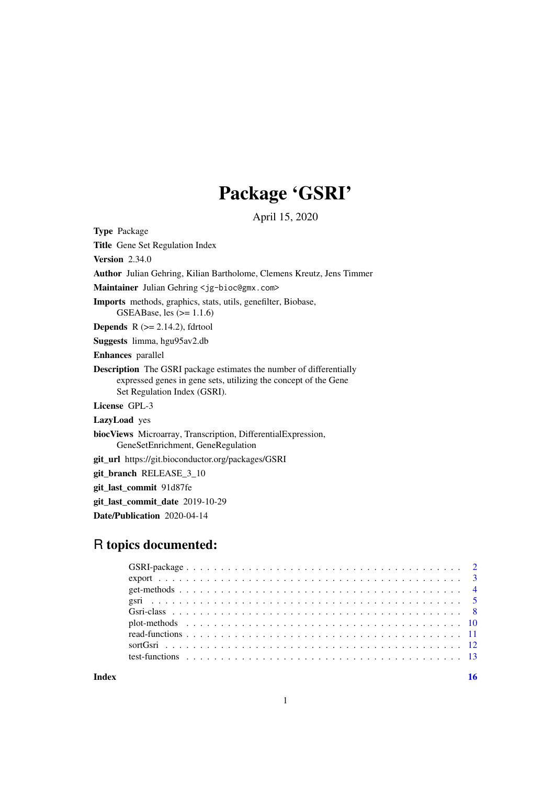## Package 'GSRI'

April 15, 2020

<span id="page-0-0"></span>Type Package Title Gene Set Regulation Index Version 2.34.0 Author Julian Gehring, Kilian Bartholome, Clemens Kreutz, Jens Timmer Maintainer Julian Gehring <jg-bioc@gmx.com> Imports methods, graphics, stats, utils, genefilter, Biobase, GSEABase, les  $(>= 1.1.6)$ **Depends**  $R$  ( $>= 2.14.2$ ), fdrtool Suggests limma, hgu95av2.db Enhances parallel Description The GSRI package estimates the number of differentially expressed genes in gene sets, utilizing the concept of the Gene Set Regulation Index (GSRI). License GPL-3 LazyLoad yes biocViews Microarray, Transcription, DifferentialExpression, GeneSetEnrichment, GeneRegulation git\_url https://git.bioconductor.org/packages/GSRI git\_branch RELEASE\_3\_10 git\_last\_commit 91d87fe git\_last\_commit\_date 2019-10-29

Date/Publication 2020-04-14

## R topics documented: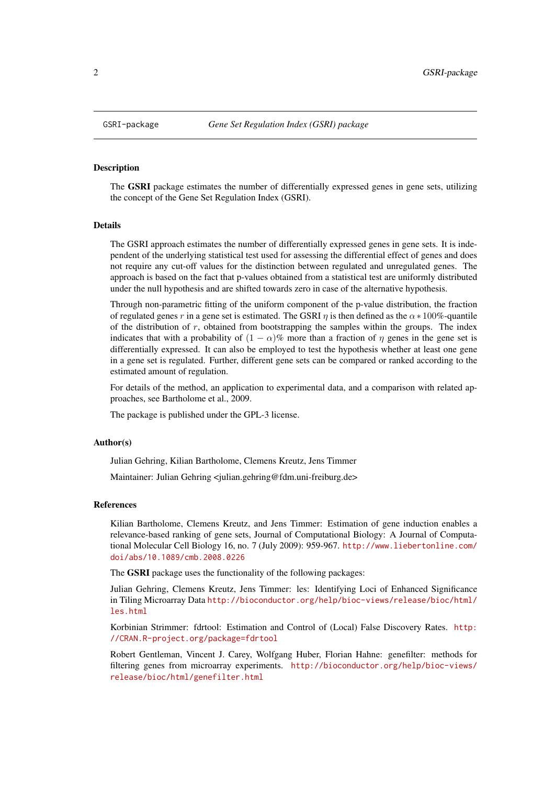#### <span id="page-1-1"></span><span id="page-1-0"></span>Description

The GSRI package estimates the number of differentially expressed genes in gene sets, utilizing the concept of the Gene Set Regulation Index (GSRI).

#### Details

The GSRI approach estimates the number of differentially expressed genes in gene sets. It is independent of the underlying statistical test used for assessing the differential effect of genes and does not require any cut-off values for the distinction between regulated and unregulated genes. The approach is based on the fact that p-values obtained from a statistical test are uniformly distributed under the null hypothesis and are shifted towards zero in case of the alternative hypothesis.

Through non-parametric fitting of the uniform component of the p-value distribution, the fraction of regulated genes r in a gene set is estimated. The GSRI  $\eta$  is then defined as the  $\alpha * 100\%$ -quantile of the distribution of  $r$ , obtained from bootstrapping the samples within the groups. The index indicates that with a probability of  $(1 - \alpha)\%$  more than a fraction of  $\eta$  genes in the gene set is differentially expressed. It can also be employed to test the hypothesis whether at least one gene in a gene set is regulated. Further, different gene sets can be compared or ranked according to the estimated amount of regulation.

For details of the method, an application to experimental data, and a comparison with related approaches, see Bartholome et al., 2009.

The package is published under the GPL-3 license.

#### Author(s)

Julian Gehring, Kilian Bartholome, Clemens Kreutz, Jens Timmer

Maintainer: Julian Gehring <julian.gehring@fdm.uni-freiburg.de>

#### References

Kilian Bartholome, Clemens Kreutz, and Jens Timmer: Estimation of gene induction enables a relevance-based ranking of gene sets, Journal of Computational Biology: A Journal of Computational Molecular Cell Biology 16, no. 7 (July 2009): 959-967. [http://www.liebertonline.com/](http://www.liebertonline.com/doi/abs/10.1089/cmb.2008.0226) [doi/abs/10.1089/cmb.2008.0226](http://www.liebertonline.com/doi/abs/10.1089/cmb.2008.0226)

The GSRI package uses the functionality of the following packages:

Julian Gehring, Clemens Kreutz, Jens Timmer: les: Identifying Loci of Enhanced Significance in Tiling Microarray Data [http://bioconductor.org/help/bioc-views/release/bioc/html/](http://bioconductor.org/help/bioc-views/release/bioc/html/les.html) [les.html](http://bioconductor.org/help/bioc-views/release/bioc/html/les.html)

Korbinian Strimmer: fdrtool: Estimation and Control of (Local) False Discovery Rates. [http:](http://CRAN.R-project.org/package=fdrtool) [//CRAN.R-project.org/package=fdrtool](http://CRAN.R-project.org/package=fdrtool)

Robert Gentleman, Vincent J. Carey, Wolfgang Huber, Florian Hahne: genefilter: methods for filtering genes from microarray experiments. [http://bioconductor.org/help/bioc-views/](http://bioconductor.org/help/bioc-views/release/bioc/html/genefilter.html) [release/bioc/html/genefilter.html](http://bioconductor.org/help/bioc-views/release/bioc/html/genefilter.html)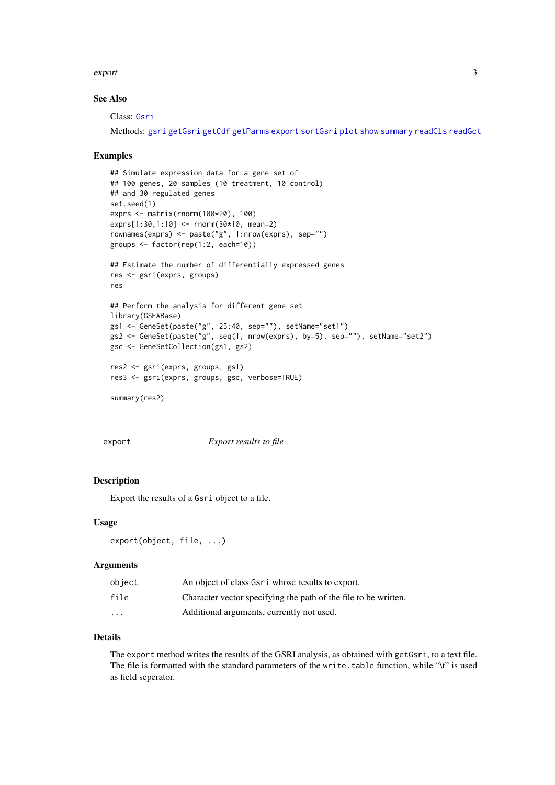#### <span id="page-2-0"></span>export 3

#### See Also

Class: [Gsri](#page-7-1)

Methods: [gsri](#page-4-1) [getGsri](#page-3-1) [getCdf](#page-3-1) [getParms](#page-3-1) [export](#page-2-1) [sortGsri](#page-11-1) [plot](#page-9-1) [show](#page-7-2) [summary](#page-7-2) [readCls](#page-10-1) [readGct](#page-10-1)

#### Examples

```
## Simulate expression data for a gene set of
## 100 genes, 20 samples (10 treatment, 10 control)
## and 30 regulated genes
set.seed(1)
exprs <- matrix(rnorm(100*20), 100)
exprs[1:30,1:10] <- rnorm(30*10, mean=2)
rownames(exprs) <- paste("g", 1:nrow(exprs), sep="")
groups <- factor(rep(1:2, each=10))
## Estimate the number of differentially expressed genes
res <- gsri(exprs, groups)
res
## Perform the analysis for different gene set
library(GSEABase)
gs1 <- GeneSet(paste("g", 25:40, sep=""), setName="set1")
gs2 <- GeneSet(paste("g", seq(1, nrow(exprs), by=5), sep=""), setName="set2")
gsc <- GeneSetCollection(gs1, gs2)
res2 <- gsri(exprs, groups, gs1)
res3 <- gsri(exprs, groups, gsc, verbose=TRUE)
summary(res2)
```
<span id="page-2-1"></span>

export *Export results to file*

#### Description

Export the results of a Gsri object to a file.

#### Usage

```
export(object, file, ...)
```
#### Arguments

| object  | An object of class Gsri whose results to export.                |
|---------|-----------------------------------------------------------------|
| file    | Character vector specifying the path of the file to be written. |
| $\cdot$ | Additional arguments, currently not used.                       |

## Details

The export method writes the results of the GSRI analysis, as obtained with getGsri, to a text file. The file is formatted with the standard parameters of the write.table function, while "\t" is used as field seperator.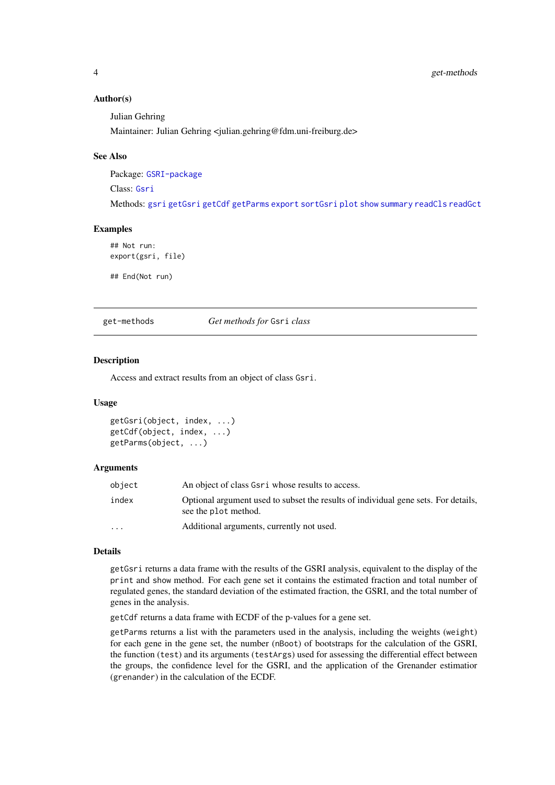#### <span id="page-3-0"></span>Author(s)

Julian Gehring

Maintainer: Julian Gehring <julian.gehring@fdm.uni-freiburg.de>

#### See Also

Package: [GSRI-package](#page-1-1)

Class: [Gsri](#page-7-1)

Methods: [gsri](#page-4-1) [getGsri](#page-3-1) [getCdf](#page-3-1) [getParms](#page-3-1) [export](#page-2-1) [sortGsri](#page-11-1) [plot](#page-9-1) [show](#page-7-2) [summary](#page-7-2) [readCls](#page-10-1) [readGct](#page-10-1)

#### Examples

## Not run: export(gsri, file)

## End(Not run)

get-methods *Get methods for* Gsri *class*

#### <span id="page-3-1"></span>Description

Access and extract results from an object of class Gsri.

#### Usage

```
getGsri(object, index, ...)
getCdf(object, index, ...)
getParms(object, ...)
```
#### Arguments

| object   | An object of class Gsri whose results to access.                                                           |
|----------|------------------------------------------------------------------------------------------------------------|
| index    | Optional argument used to subset the results of individual gene sets. For details,<br>see the plot method. |
| $\cdots$ | Additional arguments, currently not used.                                                                  |

#### Details

getGsri returns a data frame with the results of the GSRI analysis, equivalent to the display of the print and show method. For each gene set it contains the estimated fraction and total number of regulated genes, the standard deviation of the estimated fraction, the GSRI, and the total number of genes in the analysis.

getCdf returns a data frame with ECDF of the p-values for a gene set.

getParms returns a list with the parameters used in the analysis, including the weights (weight) for each gene in the gene set, the number (nBoot) of bootstraps for the calculation of the GSRI, the function (test) and its arguments (testArgs) used for assessing the differential effect between the groups, the confidence level for the GSRI, and the application of the Grenander estimatior (grenander) in the calculation of the ECDF.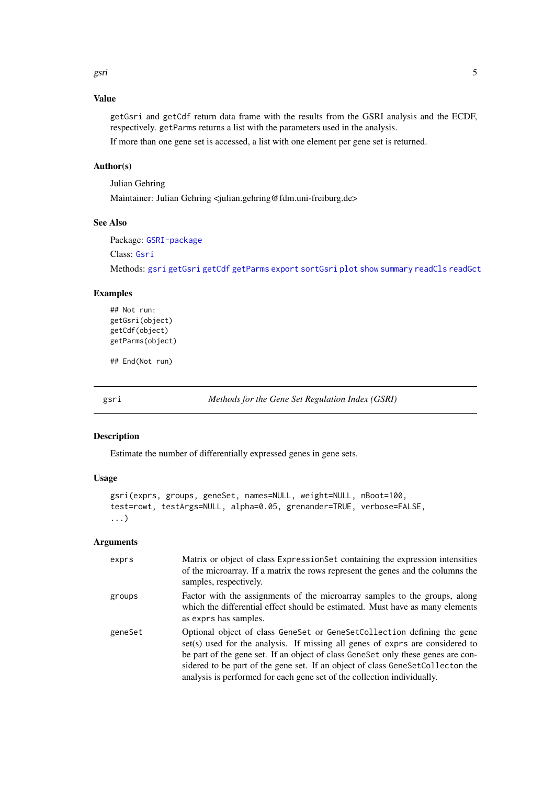<span id="page-4-0"></span>gsri 55 km senator in termine termine termine termine termine termine termine termine termine termine termine

## Value

getGsri and getCdf return data frame with the results from the GSRI analysis and the ECDF, respectively. getParms returns a list with the parameters used in the analysis.

If more than one gene set is accessed, a list with one element per gene set is returned.

#### Author(s)

Julian Gehring

Maintainer: Julian Gehring <julian.gehring@fdm.uni-freiburg.de>

## See Also

Package: [GSRI-package](#page-1-1)

Class: [Gsri](#page-7-1)

Methods: [gsri](#page-4-1) [getGsri](#page-3-1) [getCdf](#page-3-1) [getParms](#page-3-1) [export](#page-2-1) [sortGsri](#page-11-1) [plot](#page-9-1) [show](#page-7-2) [summary](#page-7-2) [readCls](#page-10-1) [readGct](#page-10-1)

## Examples

```
## Not run:
getGsri(object)
getCdf(object)
getParms(object)
```
## End(Not run)

<span id="page-4-1"></span>gsri *Methods for the Gene Set Regulation Index (GSRI)*

#### Description

Estimate the number of differentially expressed genes in gene sets.

## Usage

```
gsri(exprs, groups, geneSet, names=NULL, weight=NULL, nBoot=100,
test=rowt, testArgs=NULL, alpha=0.05, grenander=TRUE, verbose=FALSE,
...)
```
## Arguments

| exprs   | Matrix or object of class ExpressionSet containing the expression intensities<br>of the microarray. If a matrix the rows represent the genes and the columns the<br>samples, respectively.                                                                                                                                                                                                                |
|---------|-----------------------------------------------------------------------------------------------------------------------------------------------------------------------------------------------------------------------------------------------------------------------------------------------------------------------------------------------------------------------------------------------------------|
| groups  | Factor with the assignments of the microarray samples to the groups, along<br>which the differential effect should be estimated. Must have as many elements<br>as exprs has samples.                                                                                                                                                                                                                      |
| geneSet | Optional object of class GeneSet or GeneSetCollection defining the gene<br>set(s) used for the analysis. If missing all genes of exprs are considered to<br>be part of the gene set. If an object of class GeneSet only these genes are con-<br>sidered to be part of the gene set. If an object of class GeneSetCollecton the<br>analysis is performed for each gene set of the collection individually. |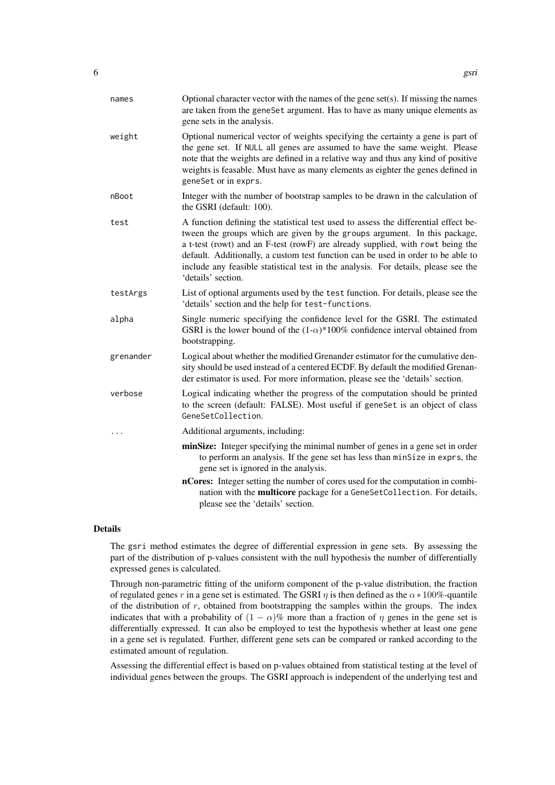| names     | Optional character vector with the names of the gene set(s). If missing the names<br>are taken from the geneSet argument. Has to have as many unique elements as<br>gene sets in the analysis.                                                                                                                                                                                                                                                     |
|-----------|----------------------------------------------------------------------------------------------------------------------------------------------------------------------------------------------------------------------------------------------------------------------------------------------------------------------------------------------------------------------------------------------------------------------------------------------------|
| weight    | Optional numerical vector of weights specifying the certainty a gene is part of<br>the gene set. If NULL all genes are assumed to have the same weight. Please<br>note that the weights are defined in a relative way and thus any kind of positive<br>weights is feasable. Must have as many elements as eighter the genes defined in<br>geneSet or in exprs.                                                                                     |
| nBoot     | Integer with the number of bootstrap samples to be drawn in the calculation of<br>the GSRI (default: 100).                                                                                                                                                                                                                                                                                                                                         |
| test      | A function defining the statistical test used to assess the differential effect be-<br>tween the groups which are given by the groups argument. In this package,<br>a t-test (rowt) and an F-test (rowF) are already supplied, with rowt being the<br>default. Additionally, a custom test function can be used in order to be able to<br>include any feasible statistical test in the analysis. For details, please see the<br>'details' section. |
| testArgs  | List of optional arguments used by the test function. For details, please see the<br>'details' section and the help for test-functions.                                                                                                                                                                                                                                                                                                            |
| alpha     | Single numeric specifying the confidence level for the GSRI. The estimated<br>GSRI is the lower bound of the $(1-\alpha)^*100\%$ confidence interval obtained from<br>bootstrapping.                                                                                                                                                                                                                                                               |
| grenander | Logical about whether the modified Grenander estimator for the cumulative den-<br>sity should be used instead of a centered ECDF. By default the modified Grenan-<br>der estimator is used. For more information, please see the 'details' section.                                                                                                                                                                                                |
| verbose   | Logical indicating whether the progress of the computation should be printed<br>to the screen (default: FALSE). Most useful if geneSet is an object of class<br>GeneSetCollection.                                                                                                                                                                                                                                                                 |
|           | Additional arguments, including:                                                                                                                                                                                                                                                                                                                                                                                                                   |
|           | minSize: Integer specifying the minimal number of genes in a gene set in order<br>to perform an analysis. If the gene set has less than minSize in exprs, the<br>gene set is ignored in the analysis.                                                                                                                                                                                                                                              |
|           | nCores: Integer setting the number of cores used for the computation in combi-<br>nation with the multicore package for a GeneSetCollection. For details,<br>please see the 'details' section.                                                                                                                                                                                                                                                     |

## Details

The gsri method estimates the degree of differential expression in gene sets. By assessing the part of the distribution of p-values consistent with the null hypothesis the number of differentially expressed genes is calculated.

Through non-parametric fitting of the uniform component of the p-value distribution, the fraction of regulated genes r in a gene set is estimated. The GSRI  $\eta$  is then defined as the  $\alpha * 100\%$ -quantile of the distribution of  $r$ , obtained from bootstrapping the samples within the groups. The index indicates that with a probability of  $(1 - \alpha)\%$  more than a fraction of  $\eta$  genes in the gene set is differentially expressed. It can also be employed to test the hypothesis whether at least one gene in a gene set is regulated. Further, different gene sets can be compared or ranked according to the estimated amount of regulation.

Assessing the differential effect is based on p-values obtained from statistical testing at the level of individual genes between the groups. The GSRI approach is independent of the underlying test and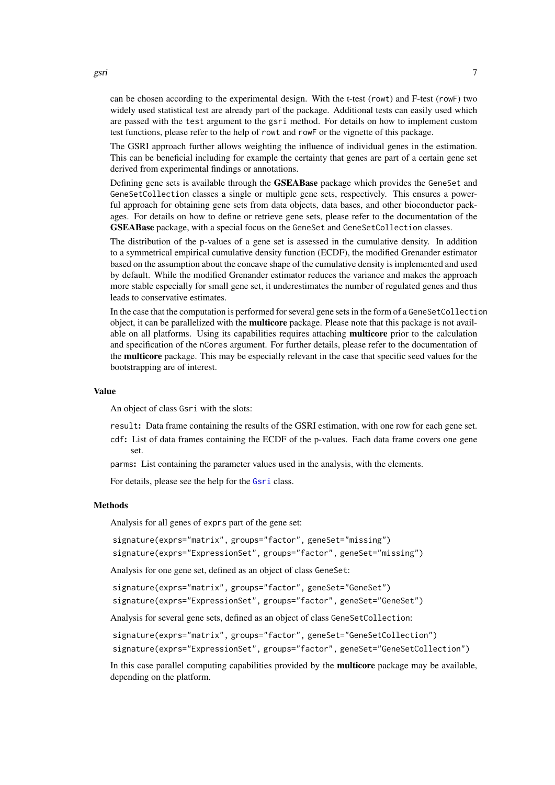<span id="page-6-0"></span>can be chosen according to the experimental design. With the t-test (rowt) and F-test (rowF) two widely used statistical test are already part of the package. Additional tests can easily used which are passed with the test argument to the gsri method. For details on how to implement custom test functions, please refer to the help of rowt and rowF or the vignette of this package.

The GSRI approach further allows weighting the influence of individual genes in the estimation. This can be beneficial including for example the certainty that genes are part of a certain gene set derived from experimental findings or annotations.

Defining gene sets is available through the GSEABase package which provides the GeneSet and GeneSetCollection classes a single or multiple gene sets, respectively. This ensures a powerful approach for obtaining gene sets from data objects, data bases, and other bioconductor packages. For details on how to define or retrieve gene sets, please refer to the documentation of the GSEABase package, with a special focus on the GeneSet and GeneSetCollection classes.

The distribution of the p-values of a gene set is assessed in the cumulative density. In addition to a symmetrical empirical cumulative density function (ECDF), the modified Grenander estimator based on the assumption about the concave shape of the cumulative density is implemented and used by default. While the modified Grenander estimator reduces the variance and makes the approach more stable especially for small gene set, it underestimates the number of regulated genes and thus leads to conservative estimates.

In the case that the computation is performed for several gene sets in the form of a GeneSetCollection object, it can be parallelized with the multicore package. Please note that this package is not available on all platforms. Using its capabilities requires attaching multicore prior to the calculation and specification of the nCores argument. For further details, please refer to the documentation of the multicore package. This may be especially relevant in the case that specific seed values for the bootstrapping are of interest.

#### Value

An object of class Gsri with the slots:

result: Data frame containing the results of the GSRI estimation, with one row for each gene set.

cdf: List of data frames containing the ECDF of the p-values. Each data frame covers one gene set.

parms: List containing the parameter values used in the analysis, with the elements.

For details, please see the help for the [Gsri](#page-7-1) class.

#### Methods

Analysis for all genes of exprs part of the gene set:

signature(exprs="matrix", groups="factor", geneSet="missing")

signature(exprs="ExpressionSet", groups="factor", geneSet="missing")

Analysis for one gene set, defined as an object of class GeneSet:

signature(exprs="matrix", groups="factor", geneSet="GeneSet")

signature(exprs="ExpressionSet", groups="factor", geneSet="GeneSet")

Analysis for several gene sets, defined as an object of class GeneSetCollection:

```
signature(exprs="matrix", groups="factor", geneSet="GeneSetCollection")
signature(exprs="ExpressionSet", groups="factor", geneSet="GeneSetCollection")
```
In this case parallel computing capabilities provided by the multicore package may be available, depending on the platform.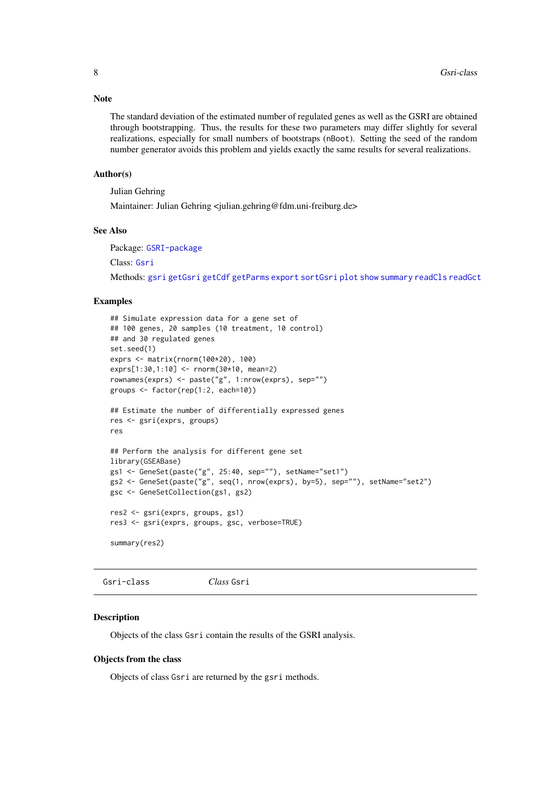#### <span id="page-7-0"></span>Note

The standard deviation of the estimated number of regulated genes as well as the GSRI are obtained through bootstrapping. Thus, the results for these two parameters may differ slightly for several realizations, especially for small numbers of bootstraps (nBoot). Setting the seed of the random number generator avoids this problem and yields exactly the same results for several realizations.

#### Author(s)

Julian Gehring

Maintainer: Julian Gehring <julian.gehring@fdm.uni-freiburg.de>

## See Also

Package: [GSRI-package](#page-1-1)

Class: [Gsri](#page-7-1)

Methods: [gsri](#page-4-1) [getGsri](#page-3-1) [getCdf](#page-3-1) [getParms](#page-3-1) [export](#page-2-1) [sortGsri](#page-11-1) [plot](#page-9-1) [show](#page-7-2) [summary](#page-7-2) [readCls](#page-10-1) [readGct](#page-10-1)

## Examples

```
## Simulate expression data for a gene set of
## 100 genes, 20 samples (10 treatment, 10 control)
## and 30 regulated genes
set.seed(1)
exprs <- matrix(rnorm(100*20), 100)
exprs[1:30,1:10] <- rnorm(30*10, mean=2)
rownames(exprs) <- paste("g", 1:nrow(exprs), sep="")
groups <- factor(rep(1:2, each=10))
## Estimate the number of differentially expressed genes
res <- gsri(exprs, groups)
res
## Perform the analysis for different gene set
library(GSEABase)
gs1 <- GeneSet(paste("g", 25:40, sep=""), setName="set1")
gs2 <- GeneSet(paste("g", seq(1, nrow(exprs), by=5), sep=""), setName="set2")
gsc <- GeneSetCollection(gs1, gs2)
res2 <- gsri(exprs, groups, gs1)
res3 <- gsri(exprs, groups, gsc, verbose=TRUE)
summary(res2)
```
<span id="page-7-1"></span>Gsri-class *Class* Gsri

#### <span id="page-7-2"></span>Description

Objects of the class Gsri contain the results of the GSRI analysis.

#### Objects from the class

Objects of class Gsri are returned by the gsri methods.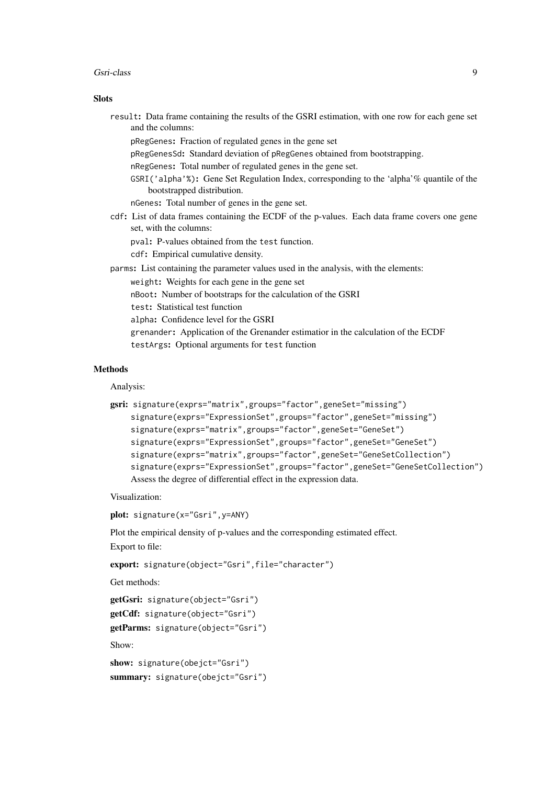#### Gsri-class 9

#### **Slots**

| result: Data frame containing the results of the GSRI estimation, with one row for each gene set<br>and the columns:    |
|-------------------------------------------------------------------------------------------------------------------------|
| pRegGenes: Fraction of regulated genes in the gene set                                                                  |
| pRegGenesSd: Standard deviation of pRegGenes obtained from bootstrapping.                                               |
| n Reggenes: Total number of regulated genes in the gene set.                                                            |
| GSRI ('alpha'%): Gene Set Regulation Index, corresponding to the 'alpha'% quantile of the<br>bootstrapped distribution. |
| ngenes: Total number of genes in the gene set.                                                                          |
| cdf: List of data frames containing the ECDF of the p-values. Each data frame covers one gene<br>set, with the columns: |
| pval: P-values obtained from the test function.                                                                         |
| cdf: Empirical cumulative density.                                                                                      |
| parms: List containing the parameter values used in the analysis, with the elements:                                    |
| weight: Weights for each gene in the gene set                                                                           |
| nBoot: Number of bootstraps for the calculation of the GSRI                                                             |
| test: Statistical test function                                                                                         |
| alpha: Confidence level for the GSRI                                                                                    |
| grenander: Application of the Grenander estimatior in the calculation of the ECDF                                       |
| testArgs: Optional arguments for test function                                                                          |

#### Methods

Analysis:

```
gsri: signature(exprs="matrix",groups="factor",geneSet="missing")
    signature(exprs="ExpressionSet",groups="factor",geneSet="missing")
    signature(exprs="matrix",groups="factor",geneSet="GeneSet")
    signature(exprs="ExpressionSet",groups="factor",geneSet="GeneSet")
    signature(exprs="matrix",groups="factor",geneSet="GeneSetCollection")
    signature(exprs="ExpressionSet",groups="factor",geneSet="GeneSetCollection")
    Assess the degree of differential effect in the expression data.
```
Visualization:

plot: signature(x="Gsri",y=ANY)

Plot the empirical density of p-values and the corresponding estimated effect.

Export to file:

export: signature(object="Gsri",file="character")

Get methods:

```
getGsri: signature(object="Gsri")
getCdf: signature(object="Gsri")
getParms: signature(object="Gsri")
Show:
```
show: signature(obejct="Gsri") summary: signature(obejct="Gsri")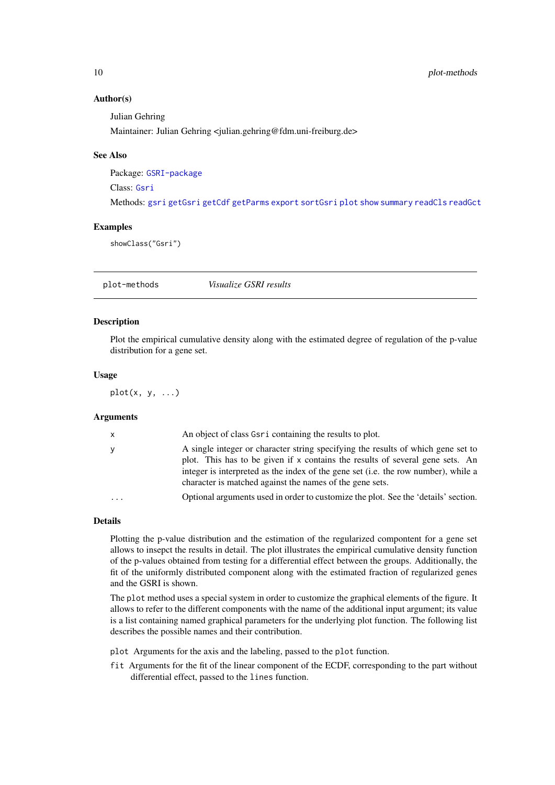#### Author(s)

Julian Gehring

Maintainer: Julian Gehring <julian.gehring@fdm.uni-freiburg.de>

#### See Also

Package: [GSRI-package](#page-1-1)

Class: [Gsri](#page-7-1)

Methods: [gsri](#page-4-1) [getGsri](#page-3-1) [getCdf](#page-3-1) [getParms](#page-3-1) [export](#page-2-1) [sortGsri](#page-11-1) [plot](#page-9-1) [show](#page-7-2) [summary](#page-7-2) [readCls](#page-10-1) [readGct](#page-10-1)

#### Examples

showClass("Gsri")

plot-methods *Visualize GSRI results*

## <span id="page-9-1"></span>Description

Plot the empirical cumulative density along with the estimated degree of regulation of the p-value distribution for a gene set.

#### Usage

 $plot(x, y, ...)$ 

#### Arguments

| $\mathsf{X}$ | An object of class Gsr i containing the results to plot.                                                                                                                                                                                                                                                            |
|--------------|---------------------------------------------------------------------------------------------------------------------------------------------------------------------------------------------------------------------------------------------------------------------------------------------------------------------|
| y            | A single integer or character string specifying the results of which gene set to<br>plot. This has to be given if x contains the results of several gene sets. An<br>integer is interpreted as the index of the gene set (i.e. the row number), while a<br>character is matched against the names of the gene sets. |
| $\cdot$      | Optional arguments used in order to customize the plot. See the 'details' section.                                                                                                                                                                                                                                  |

#### Details

Plotting the p-value distribution and the estimation of the regularized compontent for a gene set allows to insepct the results in detail. The plot illustrates the empirical cumulative density function of the p-values obtained from testing for a differential effect between the groups. Additionally, the fit of the uniformly distributed component along with the estimated fraction of regularized genes and the GSRI is shown.

The plot method uses a special system in order to customize the graphical elements of the figure. It allows to refer to the different components with the name of the additional input argument; its value is a list containing named graphical parameters for the underlying plot function. The following list describes the possible names and their contribution.

plot Arguments for the axis and the labeling, passed to the plot function.

fit Arguments for the fit of the linear component of the ECDF, corresponding to the part without differential effect, passed to the lines function.

<span id="page-9-0"></span>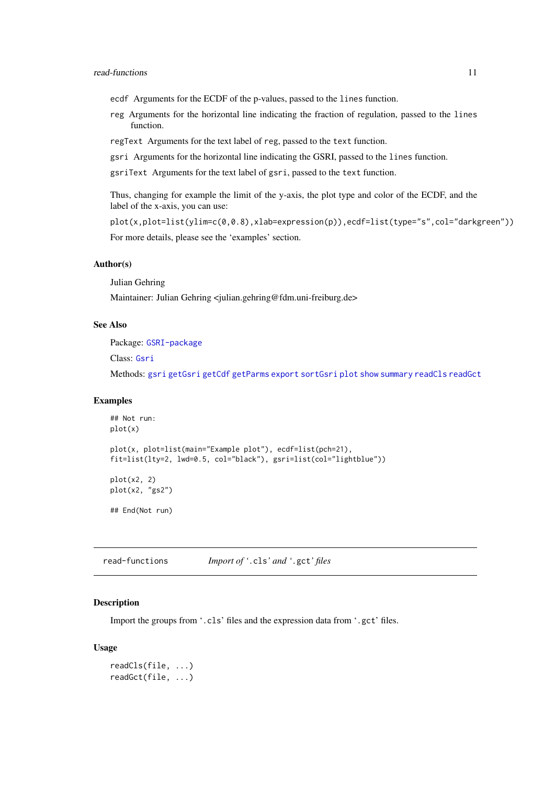- <span id="page-10-0"></span>ecdf Arguments for the ECDF of the p-values, passed to the lines function.
- reg Arguments for the horizontal line indicating the fraction of regulation, passed to the lines function.
- regText Arguments for the text label of reg, passed to the text function.
- gsri Arguments for the horizontal line indicating the GSRI, passed to the lines function.
- gsriText Arguments for the text label of gsri, passed to the text function.

Thus, changing for example the limit of the y-axis, the plot type and color of the ECDF, and the label of the x-axis, you can use:

```
plot(x,plot=list(ylim=c(0,0.8),xlab=expression(p)),ecdf=list(type="s",col="darkgreen"))
For more details, please see the 'examples' section.
```
#### Author(s)

Julian Gehring

Maintainer: Julian Gehring <julian.gehring@fdm.uni-freiburg.de>

## See Also

Package: [GSRI-package](#page-1-1)

Class: [Gsri](#page-7-1)

Methods: [gsri](#page-4-1) [getGsri](#page-3-1) [getCdf](#page-3-1) [getParms](#page-3-1) [export](#page-2-1) [sortGsri](#page-11-1) [plot](#page-9-1) [show](#page-7-2) [summary](#page-7-2) [readCls](#page-10-1) [readGct](#page-10-1)

#### Examples

```
## Not run:
plot(x)
plot(x, plot=list(main="Example plot"), ecdf=list(pch=21),
fit=list(lty=2, lwd=0.5, col="black"), gsri=list(col="lightblue"))
plot(x2, 2)plot(x2, "gs2")
## End(Not run)
```
read-functions *Import of '*.cls*' and '*.gct*' files*

#### <span id="page-10-1"></span>Description

Import the groups from '.cls' files and the expression data from '.gct' files.

#### Usage

readCls(file, ...) readGct(file, ...)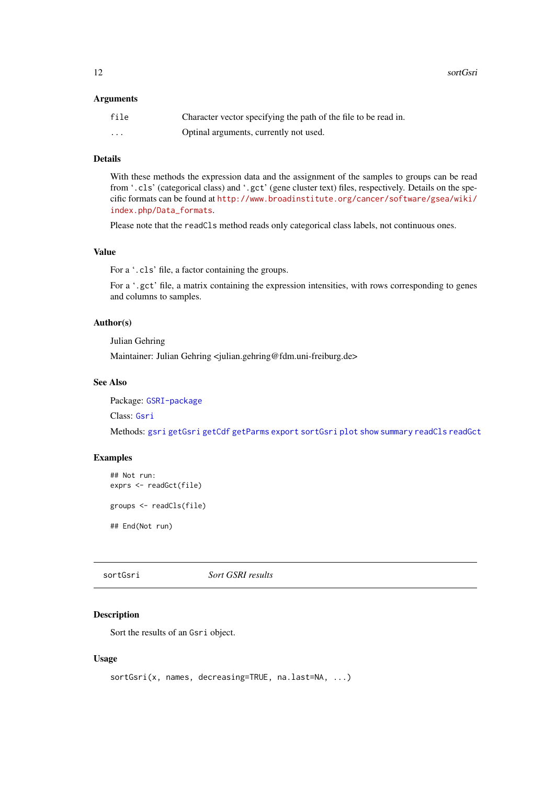<span id="page-11-0"></span>12 sortGsri

#### Arguments

| file     | Character vector specifying the path of the file to be read in. |
|----------|-----------------------------------------------------------------|
| $\cdots$ | Optinal arguments, currently not used.                          |

## Details

With these methods the expression data and the assignment of the samples to groups can be read from '.cls' (categorical class) and '.gct' (gene cluster text) files, respectively. Details on the specific formats can be found at [http://www.broadinstitute.org/cancer/software/gsea/wiki/](http://www.broadinstitute.org/cancer/software/gsea/wiki/index.php/Data_formats) [index.php/Data\\_formats](http://www.broadinstitute.org/cancer/software/gsea/wiki/index.php/Data_formats).

Please note that the readCls method reads only categorical class labels, not continuous ones.

## Value

For a '.cls' file, a factor containing the groups.

For a '.gct' file, a matrix containing the expression intensities, with rows corresponding to genes and columns to samples.

## Author(s)

Julian Gehring

Maintainer: Julian Gehring <julian.gehring@fdm.uni-freiburg.de>

## See Also

Package: [GSRI-package](#page-1-1)

Class: [Gsri](#page-7-1)

Methods: [gsri](#page-4-1) [getGsri](#page-3-1) [getCdf](#page-3-1) [getParms](#page-3-1) [export](#page-2-1) [sortGsri](#page-11-1) [plot](#page-9-1) [show](#page-7-2) [summary](#page-7-2) [readCls](#page-10-1) [readGct](#page-10-1)

## Examples

```
## Not run:
exprs <- readGct(file)
```
groups <- readCls(file)

## End(Not run)

<span id="page-11-1"></span>sortGsri *Sort GSRI results*

## Description

Sort the results of an Gsri object.

## Usage

```
sortGsri(x, names, decreasing=TRUE, na.last=NA, ...)
```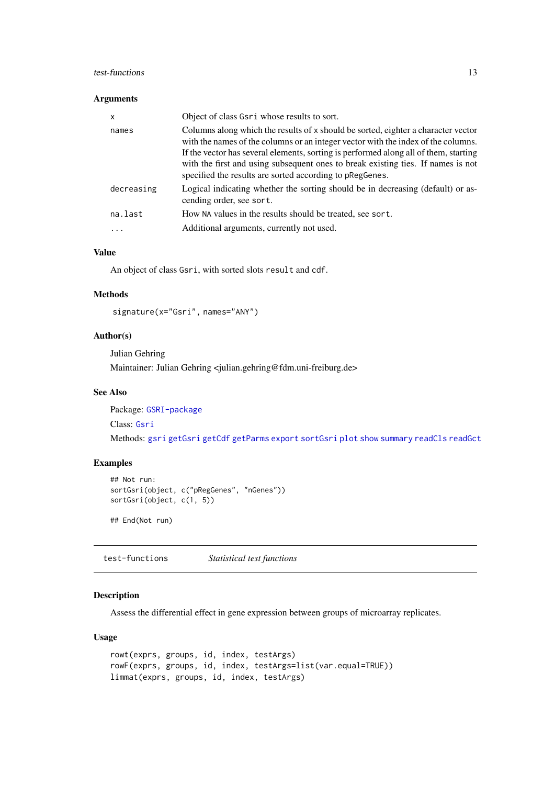#### <span id="page-12-0"></span>test-functions 13

## Arguments

| $\mathsf{x}$ | Object of class Gsri whose results to sort.                                                                                                                                                                                                                                                                                                                                                                    |
|--------------|----------------------------------------------------------------------------------------------------------------------------------------------------------------------------------------------------------------------------------------------------------------------------------------------------------------------------------------------------------------------------------------------------------------|
| names        | Columns along which the results of x should be sorted, eighter a character vector<br>with the names of the columns or an integer vector with the index of the columns.<br>If the vector has several elements, sorting is performed along all of them, starting<br>with the first and using subsequent ones to break existing ties. If names is not<br>specified the results are sorted according to pRegGenes. |
| decreasing   | Logical indicating whether the sorting should be in decreasing (default) or as-<br>cending order, see sort.                                                                                                                                                                                                                                                                                                    |
| na.last      | How NA values in the results should be treated, see sort.                                                                                                                                                                                                                                                                                                                                                      |
| $\cdots$     | Additional arguments, currently not used.                                                                                                                                                                                                                                                                                                                                                                      |

## Value

An object of class Gsri, with sorted slots result and cdf.

## Methods

signature(x="Gsri", names="ANY")

## Author(s)

Julian Gehring

Maintainer: Julian Gehring <julian.gehring@fdm.uni-freiburg.de>

#### See Also

Package: [GSRI-package](#page-1-1)

Class: [Gsri](#page-7-1)

Methods: [gsri](#page-4-1) [getGsri](#page-3-1) [getCdf](#page-3-1) [getParms](#page-3-1) [export](#page-2-1) [sortGsri](#page-11-1) [plot](#page-9-1) [show](#page-7-2) [summary](#page-7-2) [readCls](#page-10-1) [readGct](#page-10-1)

## Examples

```
## Not run:
sortGsri(object, c("pRegGenes", "nGenes"))
sortGsri(object, c(1, 5))
```
## End(Not run)

test-functions *Statistical test functions*

## Description

Assess the differential effect in gene expression between groups of microarray replicates.

## Usage

```
rowt(exprs, groups, id, index, testArgs)
rowF(exprs, groups, id, index, testArgs=list(var.equal=TRUE))
limmat(exprs, groups, id, index, testArgs)
```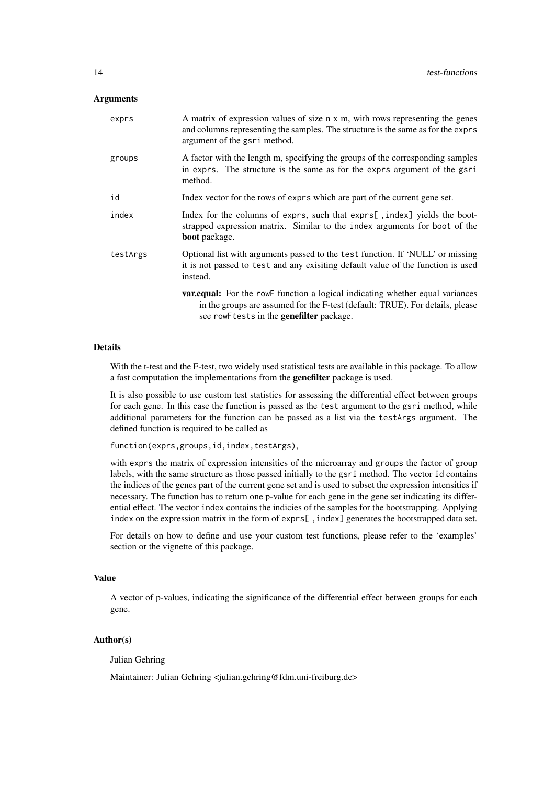#### Arguments

| exprs    | A matrix of expression values of size n x m, with rows representing the genes<br>and columns representing the samples. The structure is the same as for the exprs<br>argument of the gsri method.                 |
|----------|-------------------------------------------------------------------------------------------------------------------------------------------------------------------------------------------------------------------|
| groups   | A factor with the length m, specifying the groups of the corresponding samples<br>in exprs. The structure is the same as for the exprs argument of the gsri<br>method.                                            |
| id       | Index vector for the rows of exprs which are part of the current gene set.                                                                                                                                        |
| index    | Index for the columns of exprs, such that exprs[, index] yields the boot-<br>strapped expression matrix. Similar to the index arguments for boot of the<br><b>boot</b> package.                                   |
| testArgs | Optional list with arguments passed to the test function. If 'NULL' or missing<br>it is not passed to test and any exisiting default value of the function is used<br>instead.                                    |
|          | <b>var.equal:</b> For the rowF function a logical indicating whether equal variances<br>in the groups are assumed for the F-test (default: TRUE). For details, please<br>see rowFtests in the genefilter package. |

#### Details

With the t-test and the F-test, two widely used statistical tests are available in this package. To allow a fast computation the implementations from the genefilter package is used.

It is also possible to use custom test statistics for assessing the differential effect between groups for each gene. In this case the function is passed as the test argument to the gsri method, while additional parameters for the function can be passed as a list via the testArgs argument. The defined function is required to be called as

function(exprs,groups,id,index,testArgs),

with exprs the matrix of expression intensities of the microarray and groups the factor of group labels, with the same structure as those passed initially to the gsri method. The vector id contains the indices of the genes part of the current gene set and is used to subset the expression intensities if necessary. The function has to return one p-value for each gene in the gene set indicating its differential effect. The vector index contains the indicies of the samples for the bootstrapping. Applying index on the expression matrix in the form of exprs[ ,index] generates the bootstrapped data set.

For details on how to define and use your custom test functions, please refer to the 'examples' section or the vignette of this package.

#### Value

A vector of p-values, indicating the significance of the differential effect between groups for each gene.

#### Author(s)

Julian Gehring

Maintainer: Julian Gehring <julian.gehring@fdm.uni-freiburg.de>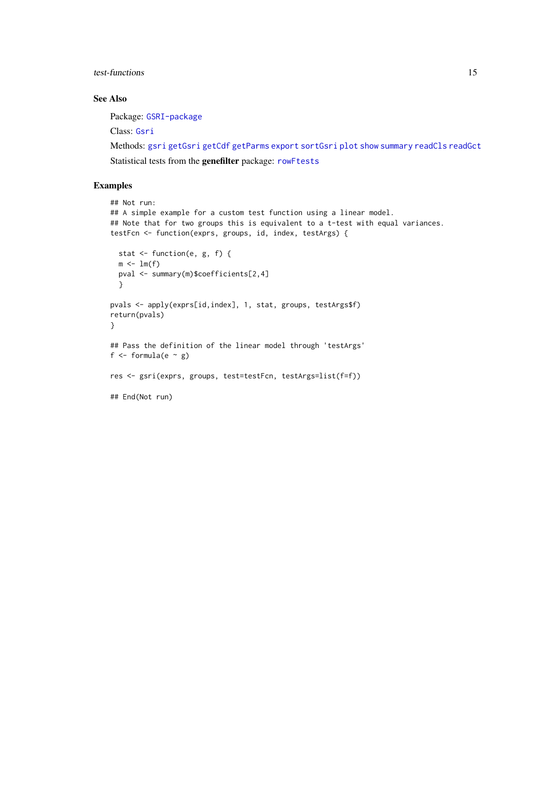<span id="page-14-0"></span>test-functions 15

#### See Also

Package: [GSRI-package](#page-1-1)

Class: [Gsri](#page-7-1)

Methods: [gsri](#page-4-1) [getGsri](#page-3-1) [getCdf](#page-3-1) [getParms](#page-3-1) [export](#page-2-1) [sortGsri](#page-11-1) [plot](#page-9-1) [show](#page-7-2) [summary](#page-7-2) [readCls](#page-10-1) [readGct](#page-10-1)

Statistical tests from the genefilter package: [rowFtests](#page-0-0)

## Examples

```
## Not run:
## A simple example for a custom test function using a linear model.
## Note that for two groups this is equivalent to a t-test with equal variances.
testFcn <- function(exprs, groups, id, index, testArgs) {
 stat <- function(e, g, f) {
  m \leftarrow \text{lm}(f)pval <- summary(m)$coefficients[2,4]
  }
pvals <- apply(exprs[id,index], 1, stat, groups, testArgs$f)
return(pvals)
}
## Pass the definition of the linear model through 'testArgs'
f \le formula(e \sim g)
res <- gsri(exprs, groups, test=testFcn, testArgs=list(f=f))
## End(Not run)
```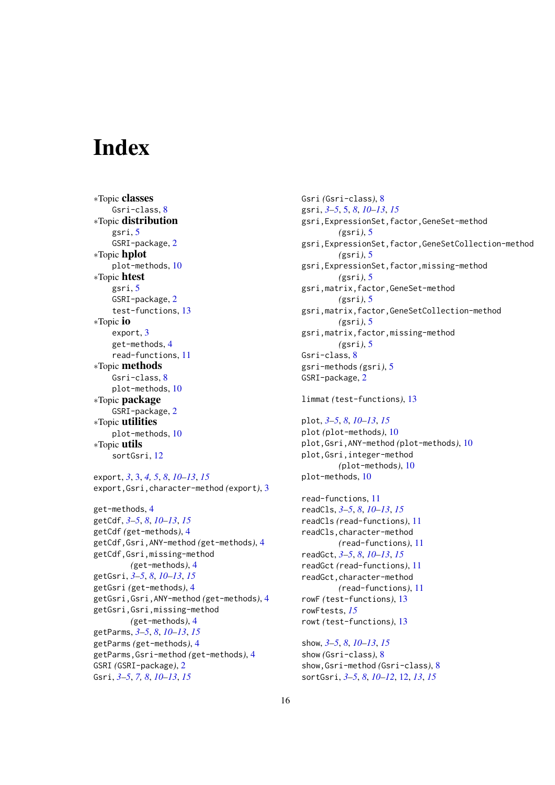# <span id="page-15-0"></span>Index

∗Topic classes Gsri-class, [8](#page-7-0) ∗Topic distribution gsri, [5](#page-4-0) GSRI-package, [2](#page-1-0) ∗Topic hplot plot-methods, [10](#page-9-0) ∗Topic htest gsri, [5](#page-4-0) GSRI-package, [2](#page-1-0) test-functions, [13](#page-12-0) ∗Topic io export, [3](#page-2-0) get-methods, [4](#page-3-0) read-functions, [11](#page-10-0) ∗Topic methods Gsri-class, [8](#page-7-0) plot-methods, [10](#page-9-0) ∗Topic package GSRI-package, [2](#page-1-0) ∗Topic utilities plot-methods, [10](#page-9-0) ∗Topic utils sortGsri, [12](#page-11-0)

export, *[3](#page-2-0)*, [3,](#page-2-0) *[4,](#page-3-0) [5](#page-4-0)*, *[8](#page-7-0)*, *[10–](#page-9-0)[13](#page-12-0)*, *[15](#page-14-0)* export,Gsri,character-method *(*export*)*, [3](#page-2-0)

get-methods, [4](#page-3-0) getCdf, *[3](#page-2-0)[–5](#page-4-0)*, *[8](#page-7-0)*, *[10](#page-9-0)[–13](#page-12-0)*, *[15](#page-14-0)* getCdf *(*get-methods*)*, [4](#page-3-0) getCdf,Gsri,ANY-method *(*get-methods*)*, [4](#page-3-0) getCdf,Gsri,missing-method *(*get-methods*)*, [4](#page-3-0) getGsri, *[3](#page-2-0)[–5](#page-4-0)*, *[8](#page-7-0)*, *[10](#page-9-0)[–13](#page-12-0)*, *[15](#page-14-0)* getGsri *(*get-methods*)*, [4](#page-3-0) getGsri,Gsri,ANY-method *(*get-methods*)*, [4](#page-3-0) getGsri,Gsri,missing-method *(*get-methods*)*, [4](#page-3-0) getParms, *[3](#page-2-0)[–5](#page-4-0)*, *[8](#page-7-0)*, *[10](#page-9-0)[–13](#page-12-0)*, *[15](#page-14-0)* getParms *(*get-methods*)*, [4](#page-3-0) getParms,Gsri-method *(*get-methods*)*, [4](#page-3-0) GSRI *(*GSRI-package*)*, [2](#page-1-0) Gsri, *[3](#page-2-0)[–5](#page-4-0)*, *[7,](#page-6-0) [8](#page-7-0)*, *[10](#page-9-0)[–13](#page-12-0)*, *[15](#page-14-0)*

Gsri *(*Gsri-class*)*, [8](#page-7-0) gsri, *[3–](#page-2-0)[5](#page-4-0)*, [5,](#page-4-0) *[8](#page-7-0)*, *[10](#page-9-0)[–13](#page-12-0)*, *[15](#page-14-0)* gsri,ExpressionSet,factor,GeneSet-method *(*gsri*)*, [5](#page-4-0) gsri,ExpressionSet,factor,GeneSetCollection-method *(*gsri*)*, [5](#page-4-0) gsri,ExpressionSet,factor,missing-method *(*gsri*)*, [5](#page-4-0) gsri,matrix,factor,GeneSet-method *(*gsri*)*, [5](#page-4-0) gsri,matrix,factor,GeneSetCollection-method *(*gsri*)*, [5](#page-4-0) gsri,matrix,factor,missing-method *(*gsri*)*, [5](#page-4-0) Gsri-class, [8](#page-7-0) gsri-methods *(*gsri*)*, [5](#page-4-0) GSRI-package, [2](#page-1-0)

limmat *(*test-functions*)*, [13](#page-12-0)

plot, *[3–](#page-2-0)[5](#page-4-0)*, *[8](#page-7-0)*, *[10](#page-9-0)[–13](#page-12-0)*, *[15](#page-14-0)* plot *(*plot-methods*)*, [10](#page-9-0) plot,Gsri,ANY-method *(*plot-methods*)*, [10](#page-9-0) plot,Gsri,integer-method *(*plot-methods*)*, [10](#page-9-0) plot-methods, [10](#page-9-0)

read-functions, [11](#page-10-0) readCls, *[3](#page-2-0)[–5](#page-4-0)*, *[8](#page-7-0)*, *[10](#page-9-0)[–13](#page-12-0)*, *[15](#page-14-0)* readCls *(*read-functions*)*, [11](#page-10-0) readCls,character-method *(*read-functions*)*, [11](#page-10-0) readGct, *[3](#page-2-0)[–5](#page-4-0)*, *[8](#page-7-0)*, *[10](#page-9-0)[–13](#page-12-0)*, *[15](#page-14-0)* readGct *(*read-functions*)*, [11](#page-10-0) readGct,character-method *(*read-functions*)*, [11](#page-10-0) rowF *(*test-functions*)*, [13](#page-12-0) rowFtests, *[15](#page-14-0)* rowt *(*test-functions*)*, [13](#page-12-0)

show, *[3–](#page-2-0)[5](#page-4-0)*, *[8](#page-7-0)*, *[10](#page-9-0)[–13](#page-12-0)*, *[15](#page-14-0)* show *(*Gsri-class*)*, [8](#page-7-0) show,Gsri-method *(*Gsri-class*)*, [8](#page-7-0) sortGsri, *[3](#page-2-0)[–5](#page-4-0)*, *[8](#page-7-0)*, *[10](#page-9-0)[–12](#page-11-0)*, [12,](#page-11-0) *[13](#page-12-0)*, *[15](#page-14-0)*